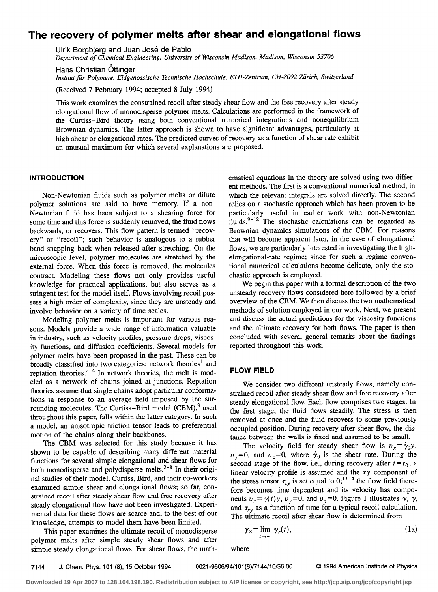# The recovery of polymer melts after shear and elongational flows

Ulrik Borgbjerg and Juan José de Pablo Department of Chemical Engineering, University of Wisconsin Madison, Madison, Wisconsin 53706

Hans Christian Öttinger Institut fir Polymere, Eidgenossische Technische Hochschule, ETH-Zentrum, CH-8092 Ziirich, Switzerland

(Received 7 February 1994; accepted 8 July 1994)

This work examines the constrained recoil after steady shear flow and the free recovery after steady elongational flow of monodisperse polymer melts. Calculations are performed in the framework of the Curtiss-Bird theory using both conventional numerical integrations and nonequilibrium Brownian dynamics. The latter approach is shown to have significant advantages, particularly at high shear or elongational rates. The predicted curves of recovery as a function of shear rate exhibit an unusual maximum for which several explanations are proposed.

# INTRODUCTION

Non-Newtonian fluids such as polymer melts or dilute polymer solutions are said to have memory. If a non-Newtonian fluid has been subject to a shearing force for some time and this force is suddenly removed, the fluid flows backwards, or recovers. This flow pattern is termed "recovery" or "recoil"; such behavior is analogous to a rubber band snapping back when released after stretching. On the microscopic level, polymer molecules are stretched by the external force. When this force is removed, the molecules contract. Modeling these flows not only provides useful knowledge for practical applications, but also serves as a stringent test for the model itself. Flows involving recoil possess a high order of complexity, since they are unsteady and involve behavior on a variety of time scales.

Modeling polymer melts is important for various reasons. Models provide a wide range of information valuable in industry, such as velocity profiles, pressure drops, viscosity functions, and diffusion coefficients. Several models for polymer melts have been proposed in the past. These can be broadly classified into two categories: network theories<sup>1</sup> and reptation theories.<sup>2-4</sup> In network theories, the melt is modeled as a network of chains joined at junctions. Reptation theories assume that single chains adopt particular conformations in response to an average field imposed by the surrounding molecules. The Curtiss-Bird model  $(CBM)$ , used throughout this paper, falls within the latter category. In such a model, an anisotropic friction tensor leads to preferential motion of the chains along their backbones.

The CBM was selected for this study because it has shown to be capable of describing many different material functions for several simple elongational and shear flows for both monodisperse and polydisperse melts.<sup>5-8</sup> In their original studies of their model, Curtiss, Bird, and their co-workers examined simple shear and elongational flows; so far, constrained recoil after steady shear flow and free recovery after steady elongational flow have not been investigated. Experimental data for these flows are scarce and, to the best of our knowledge, attempts to model them have been limited.

This paper examines the ultimate recoil of monodisperse polymer melts after simple steady shear flows and after simple steady elongational flows. For shear flows, the math-

ematical equations in the theory are solved using two different methods. The first is a conventional numerical method, in which the relevant integrals are solved directly. The second relies on a stochastic approach which has been proven to be particularly useful in earlier work with non-Newtonian fluids. $9-12$  The stochastic calculations can be regarded as Brownian dynamics simulations of the CBM. For reasons that will become apparent later, in the case of elongational flows, we are particularly interested in investigating the highelongational-rate regime; since for such a regime conventional numerical calculations become delicate, only the stochastic approach is employed.

We begin this paper with a formal description of the two unsteady recovery flows considered here followed by a brief overview of the CBM. We then discuss the two mathematical methods of solution employed in our work. Next, we present and discuss the actual predictions for the viscosity functions and the ultimate recovery for both flows. The paper is then concluded with several general remarks about the findings reported throughout this work.

# FLOW FIELD

We consider two different unsteady flows, namely constrained recoil after steady shear flow and free recovery after steady elongational flow. Each flow comprises two stages. In the first stage, the fluid flows steadily. The stress is then removed at once and the fluid recovers to some previously occupied position. During recovery after shear flow, the distance between the walls is fixed and assumed to be small.

The velocity field for steady shear flow is  $v_x = \gamma_0 y$ ,  $v_y=0$ , and  $v_z=0$ , where  $\dot{\gamma}_0$  is the shear rate. During the second stage of the flow, i.e., during recovery after  $t = t_0$ , a linear velocity profile is assumed and the xy component of the stress tensor  $\tau_{xy}$  is set equal to  $0$ ;<sup>13,14</sup> the flow field therefore becomes time dependent and its velocity has components  $v_x = \dot{\gamma}(t)y$ ,  $v_y=0$ , and  $v_z=0$ . Figure 1 illustrates  $\dot{\gamma}$ ,  $\gamma$ , and  $\tau_{xy}$  as a function of time for a typical recoil calculation. The ultimate recoil after shear flow is determined from

$$
\gamma_{\infty} = \lim_{t \to \infty} \gamma_r(t), \tag{1a}
$$

where

7144 J. Chem. Phys. 101 (8), 15 October 1994 0021-9606/94/101(8)/7144/10/\$6.00 © 1994 American Institute of Physics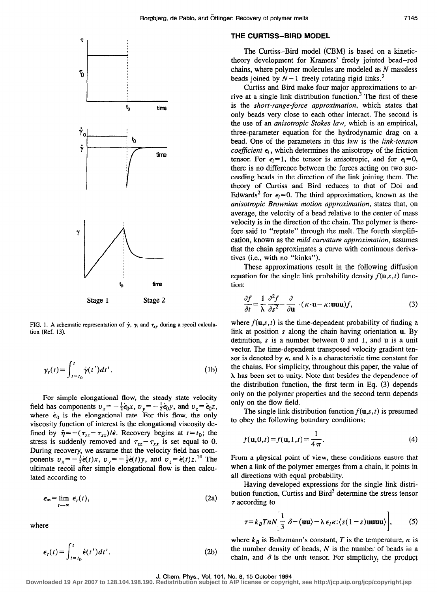

FIG. 1. A schematic representation of  $\dot{\gamma}$ ,  $\gamma$ , and  $\tau_{xy}$  during a recoil calculation (Ref. 13).

$$
\gamma_r(t) = \int_{t=t_0}^t \dot{\gamma}(t')dt'.
$$
 (1b)

For simple elongational flow, the steady state velocity field has components  $v_x = -\frac{1}{2}\epsilon_0x$ ,  $v_y = -\frac{1}{2}\epsilon_0y$ , and  $v_z = \epsilon_0z$ , where  $\dot{\epsilon}_0$  is the elongational rate. For this flow, the only viscosity function of interest is the elongational viscosity defined by  $\bar{\eta} = -(\tau_{zz} - \tau_{xx})/\dot{\epsilon}$ . Recovery begins at  $t = t_0$ ; the stress is suddenly removed and  $\tau_{zz} - \tau_{xx}$  is set equal to 0. During recovery, we assume that the velocity field has components  $v_x = -\frac{1}{2}\epsilon(t)x$ ,  $v_y = -\frac{1}{2}\epsilon(t)y$ , and  $v_z = \epsilon(t)z$ .<sup>14</sup> The ultimate recoil after simple elongational flow is then calculated according to

$$
\epsilon_{\infty} = \lim_{t \to \infty} \epsilon_r(t), \tag{2a}
$$

$$
\epsilon_r(t) = \int_{t=t_0}^t \dot{\epsilon}(t')dt'.
$$
 (2b)

# THE CURTISS-BIRD MODEL

The Curtiss-Bird model (CBM) is based on a kinetictheory development for Kramers' freely jointed bead-rod chains, where polymer molecules are modeled as N massless beads joined by  $N-1$  freely rotating rigid links.<sup>3</sup>

Curtiss and Bird make four major approximations to arrive at a single link distribution function.<sup>3</sup> The first of these is the short-range-force approximation, which states that only beads very close to each other interact. The second is the use of an anisotropic Stokes law, which is an empirical, three-parameter equation for the hydrodynamic drag on a bead. One of the parameters in this law is the link-tension coefficient  $\epsilon_i$ , which determines the anisotropy of the friction tensor. For  $\epsilon_i = 1$ , the tensor is anisotropic, and for  $\epsilon_i = 0$ , there is no difference between the forces acting on two succeeding beads in the direction of the link joining them. The theory of Curtiss and Bird reduces to that of Doi and Edwards<sup>2</sup> for  $\epsilon_1$ =0. The third approximation, known as the anisotropic Brownian motion approximation, states that, on average, the velocity of a bead relative to the center of mass velocity is in the direction of the chain. The polymer is therefore said to "reptate" through the melt. The fourth simplification, known as the mild curvature approximation, assumes that the chain approximates a curve with continuous derivatives (i.e., with no "kinks").

These approximations result in the following diffusion equation for the single link probability density  $f(\mathbf{u}, s, t)$  function:

$$
\frac{\partial f}{\partial t} = \frac{1}{\lambda} \frac{\partial^2 f}{\partial s^2} - \frac{\partial}{\partial u} \cdot (\kappa \cdot u - \kappa \cdot uuu) f, \tag{3}
$$

where  $f(\mathbf{u}, s, t)$  is the time-dependent probability of finding a link at position s along the chain having orientation  $\bf{u}$ . By definition,  $s$  is a number between 0 and 1, and  $u$  is a unit vector. The time-dependent transposed velocity gradient tensor is denoted by  $\kappa$ , and  $\lambda$  is a characteristic time constant for the chains. For simplicity, throughout this paper, the value of  $\lambda$  has been set to unity. Note that besides the dependence of the distribution function, the first term in Eq. (3) depends only on the polymer properties and the second term depends only on the flow field.

The single link distribution function  $f(\mathbf{u},s,t)$  is presumed to obey the following boundary conditions:

$$
f(\mathbf{u},0,t) = f(\mathbf{u},1,t) = \frac{1}{4\pi}.
$$
 (4)

From a physical point of view, these conditions ensure that when a link of the polymer emerges from a chain, it points in all directions with equal probability.

Having developed expressions for the single link distribution function, Curtiss and Bird<sup>3</sup> determine the stress tensor  $\tau$  according to

where 
$$
\tau = k_B T n N \bigg[ \frac{1}{3} \delta - \langle \mathbf{u} \mathbf{u} \rangle - \lambda \epsilon_l \kappa : \langle s(1-s) \mathbf{u} \mathbf{u} \mathbf{u} \rangle \bigg], \qquad (5)
$$

where  $k_B$  is Boltzmann's constant, T is the temperature, n is the number density of beads,  $N$  is the number of beads in a chain, and  $\delta$  is the unit tensor. For simplicity, the product

J. Chem. Phys., Vol. 101, No. 8, 15 October 1994 **Downloaded 19 Apr 2007 to 128.104.198.190. Redistribution subject to AIP license or copyright, see http://jcp.aip.org/jcp/copyright.jsp**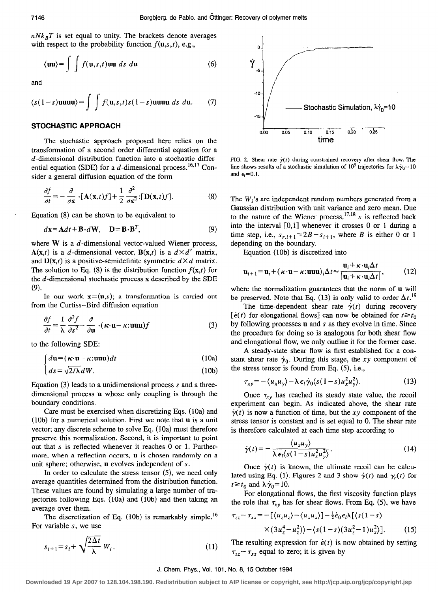$nNk_BT$  is set equal to unity. The brackets denote averages with respect to the probability function  $f(\mathbf{u}, s, t)$ , e.g.,

$$
\langle \mathbf{u}\mathbf{u}\rangle = \int \int f(\mathbf{u}, s, t) \mathbf{u}\mathbf{u} \, ds \, d\mathbf{u} \tag{6}
$$

and

$$
\langle s(1-s)\mathbf{u}\mathbf{u}\mathbf{u}\mathbf{u}\rangle = \int \int f(\mathbf{u},s,t)s(1-s)\mathbf{u}\mathbf{u}\mathbf{u} \, ds \, d\mathbf{u}.\tag{7}
$$

# STOCHASTIC APPROACH  $\begin{bmatrix} 1 & 0 & 0 \\ 0 & 0 & 0 \\ 0 & 0 & 0 \end{bmatrix}$

The stochastic approach proposed here relies on the transformation of a second order differential equation for a d-dimensional distribution function into a stochastic differential equation (SDE) for a d-dimensional process.<sup>16,17</sup> Consider a general diffusion equation of the form

$$
\frac{\partial f}{\partial t} = -\frac{\partial}{\partial \mathbf{x}} \cdot [\mathbf{A}(\mathbf{x},t)f] + \frac{1}{2} \frac{\partial^2}{\partial \mathbf{x}^2} : [\mathbf{D}(\mathbf{x},t)f]. \tag{8}
$$

Equation (8) can be shown to be equivalent to

$$
d\mathbf{x} = \mathbf{A}dt + \mathbf{B} \cdot d\mathbf{W}, \quad \mathbf{D} = \mathbf{B} \cdot \mathbf{B}^T, \tag{9}
$$

where  $W$  is a  $d$ -dimensional vector-valued Wiener process,  $A(x,t)$  is a d-dimensional vector,  $B(x,t)$  is a  $d \times d'$  matrix, and  $D(x,t)$  is a positive-semidefinite symmetric  $d \times d$  matrix. The solution to Eq. (8) is the distribution function  $f(\mathbf{x},t)$  for the d-dimensional stochastic process x described by the SDE (9).

In our work  $\mathbf{x}=(\mathbf{u},s)$ ; a transformation is carried out from the Curtiss-Bird diffusion equation

$$
\frac{\partial f}{\partial t} = \frac{1}{\lambda} \frac{\partial^2 f}{\partial s^2} - \frac{\partial}{\partial u} \cdot (\kappa \cdot u - \kappa \cdot uuu) f \tag{3}
$$

to the following SDE:

$$
\int d\mathbf{u} = (\kappa \cdot \mathbf{u} - \kappa \cdot \mathbf{u} \mathbf{u}) dt
$$
 (10a)

$$
\int ds = \sqrt{2/\lambda} dW. \tag{10b}
$$

Equation  $(3)$  leads to a unidimensional process s and a threedimensional process u whose only coupling is through the boundary conditions.

Care must be exercised when discretizing Eqs. (10a) and (10b) for a numerical solution. First we note that  $\bf{u}$  is a unit vector; any discrete scheme to solve Eq. (10a) must therefore preserve this normalization. Second, it is important to point out that s is reflected whenever it reaches 0 or 1. Furthermore, when a reflection occurs, **u** is chosen randomly on a unit sphere; otherwise, u evolves independent of s.

In order to calculate the stress tensor (5), we need only average quantities determined from the distribution function. These values are found by simulating a large number of trajectories following Eqs. (lOa) and (lob) and then taking an average over them.

The discretization of Eq.  $(10b)$  is remarkably simple.<sup>16</sup> For variable s, we use

$$
s_{i+1} = s_i + \sqrt{\frac{2\Delta t}{\lambda}} W_i.
$$
 (11)



FIG. 2. Shear rate  $\dot{\gamma}(t)$  during constrained recovery after shear flow. The line shows results of a stochastic simulation of 10<sup>5</sup> trajectories for  $\lambda \dot{\gamma}_0 = 10$ and  $\epsilon_i = 0.1$ .

The  $W_i$ 's are independent random numbers generated from a Gaussian distribution with unit variance and zero mean. Due to the nature of the Wiener process,  $17,18$  s is reflected back into the interval [O,l] whenever it crosses 0 or 1 during a time step, i.e.,  $s_{r,i+1}=2B-s_{i+1}$ , where B is either 0 or 1 depending on the boundary.

Equation (10b) is discretized into

$$
\mathbf{u}_{i+1} = \mathbf{u}_i + (\kappa \cdot \mathbf{u} - \kappa \cdot \mathbf{u} \cdot \mathbf{u})_i \Delta t \approx \frac{\mathbf{u}_i + \kappa \cdot \mathbf{u}_i \Delta t}{|\mathbf{u}_i + \kappa \cdot \mathbf{u}_i \Delta t|},
$$
(12)

where the normalization guarantees that the norm of u will be preserved. Note that Eq. (13) is only valid to order  $\Delta t$ .<sup>19</sup>

The time-dependent shear rate  $\dot{\gamma}(t)$  during recovery  $[\dot{\epsilon}(t)]$  for elongational flows] can now be obtained for  $t \geq t_0$ by following processes  $\bf{u}$  and  $\bf{s}$  as they evolve in time. Since the procedure for doing so is analogous for both shear flow and elongational flow, we only outline it for the former case.

A steady-state shear flow is first established for a constant shear rate  $\dot{\gamma}_0$ . During this stage, the xy component of the stress tensor is found from Eq. (5), i.e.,

$$
\tau_{xy} = -\langle u_x u_y \rangle - \lambda \epsilon_i \dot{\gamma}_0 \langle s(1-s) u_x^2 u_y^2 \rangle. \tag{13}
$$

Once  $\tau_{xy}$  has reached its steady state value, the recoil experiment can begin. As indicated above, the shear rate  $\dot{\gamma}(t)$  is now a function of time, but the xy component of the stress tensor is constant and is set equal to 0. The shear rate is therefore calculated at each time step according to

$$
\dot{\gamma}(t) = -\frac{\langle u_x u_y \rangle}{\lambda \epsilon_l \langle s(1-s)u_x^2 u_y^2 \rangle}.
$$
\n(14)

Once  $\dot{\gamma}(t)$  is known, the ultimate recoil can be calculated using Eq. (1). Figures 2 and 3 show  $\dot{\gamma}(t)$  and  $\gamma_r(t)$  for  $t \geq t_0$  and  $\lambda \dot{\gamma}_0 = 10$ .

For elongational flows, the first viscosity function plays the role that  $\tau_{xy}$  has for shear flows. From Eq. (5), we have

$$
\tau_{zz} - \tau_{xx} = -\left[\langle u_z u_z \rangle - \langle u_x u_x \rangle\right] - \frac{1}{2} \dot{\epsilon}_0 \epsilon_l \lambda \left[\langle s(1-s) \times (3u_z^4 - u_z^2) \rangle - \langle s(1-s)(3u_z^2 - 1)u_x^2 \rangle\right]. \tag{15}
$$

The resulting expression for  $\dot{\epsilon}(t)$  is now obtained by setting  $\tau_{zz}$  -  $\tau_{xx}$  equal to zero; it is given by

# J. Chem. Phys., Vol. 101, No. 8, 15 October 1994

**Downloaded 19 Apr 2007 to 128.104.198.190. Redistribution subject to AIP license or copyright, see http://jcp.aip.org/jcp/copyright.jsp**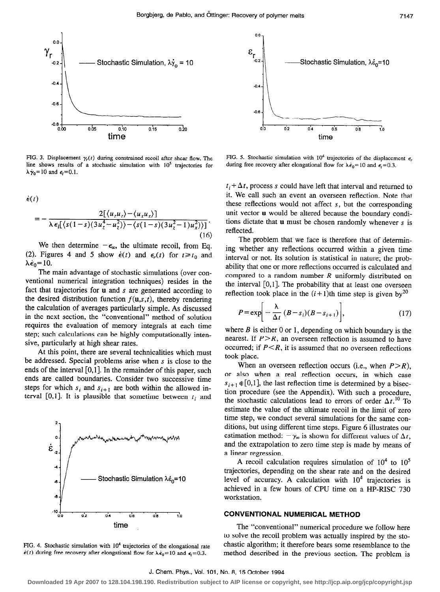

FIG. 3. Displacement  $\gamma_r(t)$  during constrained recoil after shear flow. The line shows results of a stochastic simulation with  $10<sup>5</sup>$  trajectories for  $\lambda \dot{\gamma}_0 = 10$  and  $\epsilon_i = 0.1$ .

$$
\dot{\epsilon}(t) = -\frac{2[\langle u_z u_z \rangle - \langle u_x u_x \rangle]}{\lambda \epsilon_l [\langle s(1-s)(3u_z^4 - u_z^2) \rangle - \langle s(1-s)(3u_z^2 - 1)u_x^2 \rangle)]}.
$$
\n(16)

We then determine  $-\epsilon_{\infty}$ , the ultimate recoil, from Eq. (2). Figures 4 and 5 show  $\dot{\epsilon}(t)$  and  $\epsilon_r(t)$  for  $t \geq t_0$  and  $\lambda \dot{\epsilon}_0 = 10.$ 

The main advantage of stochastic simulations (over conventional numerical integration techniques) resides in the fact that trajectories for  $\bf{u}$  and  $\bf{s}$  are generated according to the desired distribution function  $f(\mathbf{u},s,t)$ , thereby rendering the calculation of averages particularly simple. As discussed in the next section, the "conventional" method of solution requires the evaluation of memory integrals at each time step; such calculations can be highly computationally intensive, particularly at high shear rates.

At this point, there are several technicalities which must be addressed. Special problems arise when s is close to the ends of the interval  $[0, 1]$ . In the remainder of this paper, such ends are called boundaries. Consider two successive time steps for which  $s_i$  and  $s_{i+1}$  are both within the allowed interval [0,1]. It is plausible that sometime between  $t_i$  and



FIG. 4. Stochastic simulation with  $10<sup>4</sup>$  trajectories of the elongational rate  $\dot{\epsilon}(t)$  during free recovery after elongational flow for  $\lambda \dot{\epsilon}_0 = 10$  and  $\epsilon_i = 0.3$ .



FIG. 5. Stochastic simulation with  $10^4$  trajectories of the displacement  $\epsilon$ . during free recovery after elongational flow for  $\lambda \dot{\epsilon}_0 = 10$  and  $\epsilon_t = 0.3$ .

 $t_i + \Delta t$ , process s could have left that interval and returned to it. We call such an event an overseen reflection. Note that these reflections would not affect  $s$ , but the corresponding unit vector u would be altered because the boundary conditions dictate that  $\bf{u}$  must be chosen randomly whenever  $\bf{s}$  is reflected.

The problem that we face is therefore that of determining whether any reflections occurred within a given time interval or not. Its solution is statistical in nature; the probability that one or more reflections occurred is calculated and compared to a random number  $R$  uniformly distributed on the interval [O,l]. The probability that at least one overseen reflection took place in the  $(i+1)$ th time step is given by<sup>20</sup>

$$
P = \exp\bigg[-\frac{\lambda}{\Delta t} (B - s_i)(B - s_{i+1})\bigg],\tag{17}
$$

where  $B$  is either 0 or 1, depending on which boundary is the nearest. If  $P > R$ , an overseen reflection is assumed to have occurred; if  $P \le R$ , it is assumed that no overseen reflections took place.

When an overseen reflection occurs (i.e., when  $P > R$ ), or also when a real reflection occurs, in which case  $s_{i+1} \in [0,1]$ , the last reflection time is determined by a bisection procedure (see the Appendix). With such a procedure, the stochastic calculations lead to errors of order  $\Delta t$ .<sup>10</sup> To estimate the value of the ultimate recoil in the limit of zero time step, we conduct several simulations for the same conditions, but using different time steps. Figure 6 illustrates our estimation method:  $-\gamma_{\infty}$  is shown for different values of  $\Delta t$ , and the extrapolation to zero time step is made by means of a linear regression.

A recoil calculation requires simulation of  $10^4$  to  $10^5$ trajectories, depending on the shear rate and on the desired level of accuracy. A calculation with  $10<sup>4</sup>$  trajectories is achieved in a few hours of CPU time on a HP-RISC 730 workstation.

# CONVENTIONAL NUMERICAL METHOD

The "conventional" numerical procedure we follow here to solve the recoil problem was actually inspired by the stochastic algorithm; it therefore bears some resemblance to the method described in the previous section. The problem is

#### J. Chem. Phys., Vol. 101, No. 8, 15 October 1994

**Downloaded 19 Apr 2007 to 128.104.198.190. Redistribution subject to AIP license or copyright, see http://jcp.aip.org/jcp/copyright.jsp**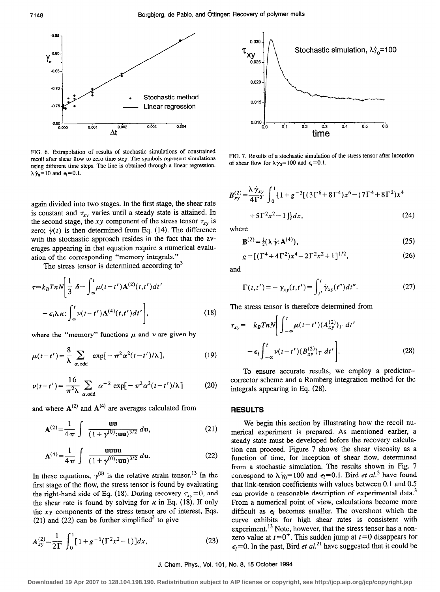

FIG. 6. Extrapolation of results of stochastic simulations of constrained recoil after shear flow to zero time step. The symbols represent simulations using different time steps. The line is obtained through a linear regression.  $\lambda \dot{\gamma}_0 = 10$  and  $\epsilon_l = 0.1$ .

again divided into two stages. In the first stage, the shear rate is constant and  $\tau_{xy}$  varies until a steady state is attained. In the second stage, the xy component of the stress tensor  $\tau_{xy}$  is zero;  $\dot{\gamma}(t)$  is then determined from Eq. (14). The difference with the stochastic approach resides in the fact that the averages appearing in that equation require a numerical evaluation of the corresponding "memory integrals."

The stress tensor is determined according to<sup>3</sup>

$$
\tau = k_B T n N \left[ \frac{1}{3} \delta - \int_{-\infty}^{t} \mu(t - t') \mathbf{A}^{(2)}(t, t') dt' - \epsilon_l \lambda \kappa : \int_{-\infty}^{t} \nu(t - t') \mathbf{A}^{(4)}(t, t') dt' \right],
$$
\n(18)

where the "memory" functions  $\mu$  and  $\nu$  are given by

$$
\mu(t-t') = \frac{8}{\lambda} \sum_{\alpha, \text{odd}} \exp[-\pi^2 \alpha^2 (t-t')/\lambda], \tag{19}
$$

$$
\nu(t-t') = \frac{16}{\pi^2 \lambda} \sum_{\alpha, \text{odd}} \alpha^{-2} \exp[-\pi^2 \alpha^2 (t-t')/\lambda] \tag{20}
$$

and where  $A^{(2)}$  and  $A^{(4)}$  are averages calculated from

$$
\mathbf{A}^{(2)} = \frac{1}{4\pi} \int \frac{\mathbf{u}\mathbf{u}}{(1 + \gamma^{(0)} : \mathbf{u}\mathbf{u})^{3/2}} d\mathbf{u},\tag{21}
$$

$$
\mathbf{A}^{(4)} = \frac{1}{4\pi} \int \frac{\mathbf{u} \mathbf{u} \mathbf{u}}{(1 + \gamma^{(0)} : \mathbf{u} \mathbf{u})^{3/2}} d\mathbf{u}.
$$
 (22)

In these equations,  $\gamma^{(0)}$  is the relative strain tensor.<sup>13</sup> In the first stage of the flow, the stress tensor is found by evaluating the right-hand side of Eq. (18). During recovery  $\tau_{xy}=0$ , and the shear rate is found by solving for  $\kappa$  in Eq. (18). If only the  $xy$  components of the stress tensor are of interest, Eqs. (21) and (22) can be further simplified<sup>3</sup> to give

$$
A_{xy}^{(2)} = \frac{1}{2\Gamma} \int_0^1 [1 + g^{-1}(\Gamma^2 x^2 - 1)] dx,
$$
 (23)



FIG. 7. Results of a stochastic simulation of the stress tensor after inception of shear flow for  $\lambda \dot{\gamma}_0 = 100$  and  $\epsilon_i = 0.1$ .

$$
B_{xy}^{(2)} = \frac{\lambda \dot{\gamma}_{xy}}{4\Gamma^2} \int_0^1 \{1 + g^{-3}[(3\Gamma^6 + 8\Gamma^4)x^6 - (7\Gamma^4 + 8\Gamma^2)x^4 + 5\Gamma^2x^2 - 1\}]dx,
$$
\n(24)

where

$$
\mathbf{B}^{(2)} = \frac{1}{2}(\lambda \dot{\gamma}; \mathbf{A}^{(4)}), \tag{25}
$$

$$
g = [(\Gamma^4 + 4\Gamma^2)x^4 - 2\Gamma^2x^2 + 1]^{1/2},\tag{26}
$$

and

$$
\Gamma(t,t') = -\gamma_{xy}(t,t') = \int_{t'}^{t} \dot{\gamma}_{xy}(t'')dt''.
$$
 (27)

The stress tensor is therefore determined from

$$
\tau_{xy} = -k_B T n N \Bigg[ \int_{-\infty}^t \mu(t - t') (A_{xy}^{(2)})_{\Gamma} dt' + \epsilon_l \int_{-\infty}^t \nu(t - t') (B_{xy}^{(2)})_{\Gamma} dt' \Bigg].
$$
\n(28)

To ensure accurate results, we employ a predictorcorrector scheme and a Romberg integration method for the integrals appearing in Eq. (28).

## RESULTS

We begin this section by illustrating how the recoil numerical experiment is prepared. As mentioned earlier, a steady state must be developed before the recovery calculation can proceed. Figure 7 shows the shear viscosity as a function of time, for inception of shear flow, determined from a stochastic simulation. The results shown in Fig. 7 correspond to  $\lambda \gamma_0 = 100$  and  $\epsilon_l = 0.1$ . Bird *et al.*<sup>3</sup> have found that link-tension coefficients with values between 0.1 and 0.5 can provide a reasonable description of experimental data.<sup>3</sup> From a numerical point of view, calculations become more difficult as  $\epsilon_1$  becomes smaller. The overshoot which the curve exhibits for high shear rates is consistent with experiment.<sup>13</sup> Note, however, that the stress tensor has a nonzero value at  $t = 0^+$ . This sudden jump at  $t = 0$  disappears for  $\epsilon$  = 0. In the past, Bird *et al.*<sup>21</sup> have suggested that it could be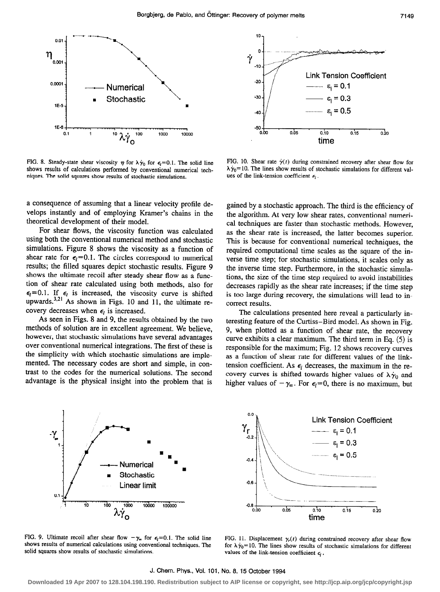

shows results of calculations performed by conventional numerical tech-<br>niques. The solid squares show results of stochastic simulations in the link-tension coefficient  $\epsilon_1$ . niques. The solid squares show results of stochastic simulations.

a consequence of assuming that a linear velocity profile develops instantly and of employing Kramer's chains in the theoretical development of their model.

For shear flows, the viscosity function was calculated using both the conventional numerical method and stochastic simulations. Figure 8 shows the viscosity as a function of shear rate for  $\epsilon_l = 0.1$ . The circles correspond to numerical results; the filled squares depict stochastic results. Figure 9 shows the ultimate recoil after steady shear flow as a function of shear rate calculated using both methods, also for  $\epsilon_l$  = 0.1. If  $\epsilon_l$  is increased, the viscosity curve is shifted  $\epsilon_l$ = $0.1$ . If  $\epsilon_l$  is increased, the viscosity curve is shifted upwards. As shown in Figs. 10 and 11, the ultimate recovery decreases when  $\epsilon_i$  is increased.

As seen in Figs. 8 and 9, the results obtained by the two methods of solution are in excellent agreement. We believe, however, that stochastic simulations have several advantages over conventional numerical integrations. The first of these is the simplicity with which stochastic simulations are implemented. The necessary codes are short and simple, in contrast to the codes for the numerical solutions. The second advantage is the physical insight into the problem that is



FIG. 8. Steady-state shear viscosity  $\eta$  for  $\lambda \dot{\gamma}_0$  for  $\epsilon_i = 0.1$ . The solid line FIG. 10. Shear rate  $\dot{\gamma}(t)$  during constrained recovery after shear flow for shows results of calculations performed by conventiona

gained by a stochastic approach. The third is the efficiency of the algorithm. At very low shear rates, conventional numerical techniques are faster than stochastic methods. However, as the shear rate is increased, the latter becomes superior. This is because for conventional numerical techniques, the required computational time scales as the square of the inverse time step: for stochastic simulations, it scales only as the inverse time step. Furthermore, in the stochastic simulations, the size of the time step required to avoid instabilities decreases rapidly as the shear rate increases; if the time step is too large during recovery, the simulations will lead to incorrect results.

The calculations presented here reveal a particularly interesting feature of the Curtiss-Bird model. As shown in Fig. 9, when plotted as a function of shear rate, the recovery curve exhibits a clear maximum. The third term in Eq. (5) is responsible for the maximum; Fig. 12 shows recovery curves as a function of shear rate for different values of the linktension coefficient. As  $\epsilon_i$  decreases, the maximum in the recovery curves is shifted towards higher values of  $\lambda\dot{\gamma}_0$  and higher values of  $-\gamma_{\infty}$ . For  $\epsilon_i = 0$ , there is no maximum, but



FIG. 9. Ultimate recoil after shear flow  $-\gamma_{\infty}$  for  $\epsilon_{l}=0.1$ . The solid line shows results of numerical calculations using conventional techniques. The solid squares show results of stochastic simulations.



FIG. 11. Displacement  $\gamma_r(t)$  during constrained recovery after shear flow for  $\lambda \gamma_0 = 10$ . The lines show results of stochastic simulations for different values of the link-tension coefficient  $\epsilon_i$ .

# J. Chem. Phys., Vol. 101, No. 8, 15 October 1994

**Downloaded 19 Apr 2007 to 128.104.198.190. Redistribution subject to AIP license or copyright, see http://jcp.aip.org/jcp/copyright.jsp**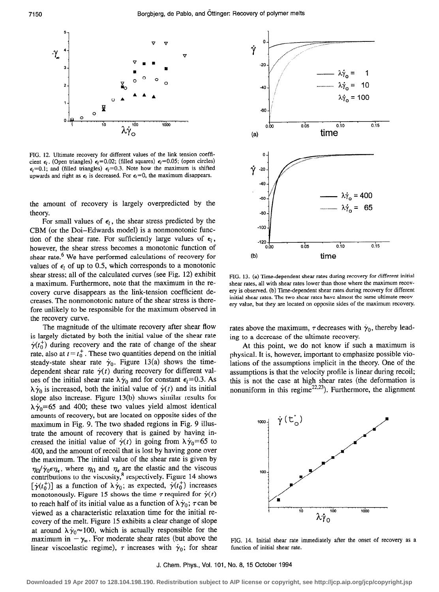

FIG. 12. Ultimate recovery for different values of the link tension coefficient  $\epsilon_i$ . (Open triangles)  $\epsilon_i$ =0.02; (filled squares)  $\epsilon_i$ =0.05; (open circles)  $\epsilon_l$ =0.1; and (filled triangles)  $\epsilon_l$ =0.3. Note how the maximum is shifted upwards and right as  $\epsilon_l$  is decreased. For  $\epsilon_l$ =0, the maximum disappears.

the amount of recovery is largely overpredicted by the theory.

For small values of  $\epsilon_l$ , the shear stress predicted by the CBM (or the Doi-Edwards model) is a nonmonotonic function of the shear rate. For sufficiently large values of  $\epsilon_l$ , however, the shear stress becomes a monotonic function of shear rate.<sup>6</sup> We have performed calculations of recovery for values of  $\epsilon_i$  of up to 0.5, which corresponds to a monotonic shear stress; all of the calculated curves (see Fig. 12) exhibit a maximum. Furthermore, note that the maximum in the recovery curve disappears as the link-tension coefficient decreases. The nonmonotonic nature of the shear stress is therefore unlikely to be responsible for the maximum observed in the recovery curve.

The magnitude of the ultimate recovery after shear flow is largely dictated by both the initial value of the shear rate  $\dot{\gamma}(t_0^+)$  during recovery and the rate of change of the shear rate, also at  $t = t_0^+$ . These two quantities depend on the initial steady-state shear rate  $\dot{\gamma}_0$ . Figure 13(a) shows the timedependent shear rate  $\dot{\gamma}(t)$  during recovery for different values of the initial shear rate  $\lambda \dot{\gamma}_0$  and for constant  $\epsilon_l$ =0.3. As  $\lambda \dot{\gamma}_0$  is increased, both the initial value of  $\dot{\gamma}(t)$  and its initial slope also increase. Figure 13(b) shows similar results for  $\lambda \dot{\gamma}_0$ =65 and 400; these two values yield almost identical amounts of recovery, but are located on opposite sides of the maximum in Fig. 9. The two shaded regions in Fig. 9 illustrate the amount of recovery that is gained by having increased the initial value of  $\dot{\gamma}(t)$  in going from  $\lambda \dot{\gamma}_0$ =65 to 400, and the amount of recoil that is lost by having gone over the maximum. The initial value of the shear rate is given by  $\eta_{\Omega}/\gamma_0 \epsilon \eta_{\epsilon}$ , where  $\eta_{\Omega}$  and  $\eta_{\epsilon}$  are the elastic and the viscous contributions to the viscosity, $8$  respectively. Figure 14 shows  $[\dot{\gamma}(t_0^+)]$  as a function of  $\lambda \dot{\gamma}_0$ ; as expected,  $\dot{\gamma}(t_0^+)$  increases monotonously. Figure 15 shows the time  $\tau$  required for  $\dot{\gamma}(t)$ to reach half of its initial value as a function of  $\lambda \dot{\gamma}_0$ ;  $\tau$  can be viewed as a characteristic relaxation time for the initial recovery of the melt. Figure 15 exhibits a clear change of slope at around  $\lambda \dot{\gamma}_0 \approx 100$ , which is actually responsible for the maximum in  $-\gamma_{\infty}$ . For moderate shear rates (but above the linear viscoelastic regime),  $\tau$  increases with  $\dot{\gamma}_0$ ; for shear



FIG. 13. (a) Time-dependent shear rates during recovery for different initial shear rates, all with shear rates lower than those where the maximum recovery is observed. (b) Time-dependent shear rates during recovery for different initial shear rates. The two shear rates have almost the same ultimate recovery value, but they are located on opposite sides of the maximum recovery.

rates above the maximum,  $\tau$  decreases with  $\dot{\gamma}_0$ , thereby leading to a decrease of the ultimate recovery.

At this point, we do not know if such a maximum is physical. It is, however, important to emphasize possible violations of the assumptions implicit in the theory. One of the assumptions is that the velocity profile is linear during recoil; this is not the case at high shear rates (the deformation is nonuniform in this regime<sup>22,23</sup>). Furthermore, the alignment



FIG. 14. Initial shear rate immediately after the onset of recovery as a function of initial shear rate.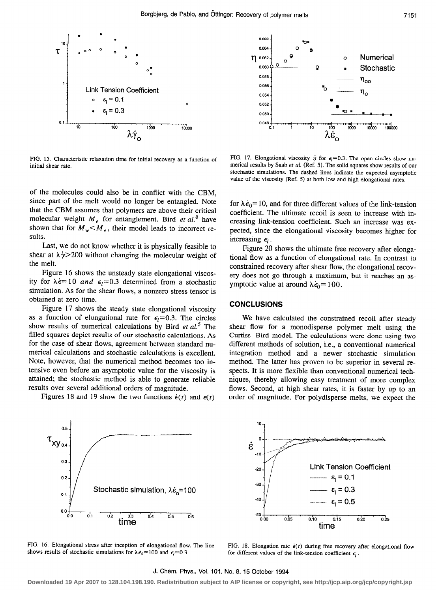

FIG. 15. Characteristic relaxation time for initial recovery as a function of initial shear rate.



FIG. 17. Elongational viscosity  $\bar{\eta}$  for  $\epsilon_l = 0.3$ . The open circles show numerical results by Saab et al. (Ref. 5). The solid squares show results of our stochastic simulations. The dashed lines indicate the expected asymptotic value of the viscosity (Ref. 5) at both low and high elongational rates.

of the molecules could also be in conflict with the CBM, since part of the melt would no longer be entangled. Note that the CBM assumes that polymers are above their critical molecular weight  $M<sub>e</sub>$  for entanglement. Bird et al.<sup>8</sup> have shown that for  $M_{\nu} < M_e$ , their model leads to incorrect results.

Last, we do not know whether it is physically feasible to shear at  $\lambda y > 200$  without changing the molecular weight of the melt.

Figure 16 shows the unsteady state elongational viscosity for  $\lambda \dot{\epsilon} = 10$  and  $\epsilon_1 = 0.3$  determined from a stochastic simulation. As for the shear flows, a nonzero stress tensor is obtained at zero time.

Figure 17 shows the steady state elongational viscosity as a function of elongational rate for  $\epsilon_1 = 0.3$ . The circles show results of numerical calculations by Bird et  $al<sup>5</sup>$ . The filled squares depict results of our stochastic calculations. As for the case of shear flows, agreement between standard numerical calculations and stochastic calculations is excellent. Note, however, that the numerical method becomes too intensive even before an asymptotic value for the viscosity is attained; the stochastic method is able to generate reliable results over several additional orders of magnitude.

Figures 18 and 19 show the two functions  $\dot{\epsilon}(t)$  and  $\epsilon(t)$ 



FIG. 16. Elongational stress after inception of elongational flow. The line shows results of stochastic simulations for  $\lambda \dot{\epsilon}_0 = 100$  and  $\epsilon_i = 0.3$ .



Figure 20 shows the ultimate free recovery after elongational flow as a function of elongational rate. In contrast to constrained recovery after shear flow, the elongational recovery does not go through a maximum, but it reaches an asymptotic value at around  $\lambda \dot{\epsilon}_0 = 100$ .

# CONCLUSIONS

We have calculated the constrained recoil after steady shear flow for a monodisperse polymer melt using the Curtiss-Bird model. The calculations were done using two different methods of solution, i.e., a conventional numerical integration method and a newer stochastic simulation method. The latter has proven to be superior in several respects. It is more flexible than conventional numerical techniques, thereby allowing easy treatment of more complex flows. Second, at high shear rates, it is faster by up to an order of magnitude. For polydisperse melts, we expect the



FIG. 18. Elongation rate  $\dot{\epsilon}(t)$  during free recovery after elongational flow for different values of the link-tension coefficient  $\epsilon_i$ .

#### J. Chem. Phys., Vol. 101, No. 8, 15 October 1994

**Downloaded 19 Apr 2007 to 128.104.198.190. Redistribution subject to AIP license or copyright, see http://jcp.aip.org/jcp/copyright.jsp**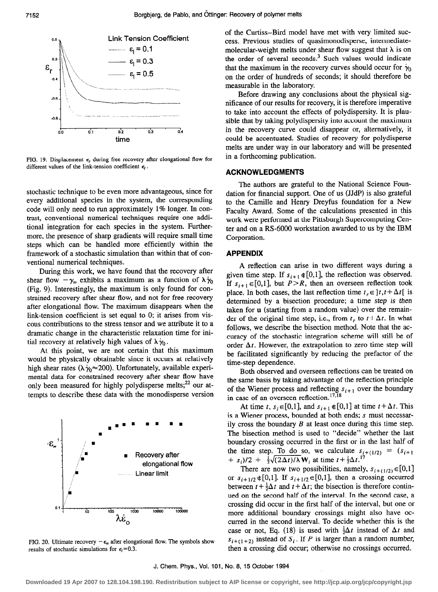

FIG. 19. Displacement  $\epsilon_r$  during free recovery after elongational flow for different values of the link-tension coefficient  $\epsilon$ .

stochastic technique to be even more advantageous, since for every additional species in the system, the corresponding code will only need to run approximately 1% longer. In contrast, conventional numerical techniques require one additional integration for each species in the system. Furthermore, the presence of sharp gradients will require small time steps which can be handled more efficiently within the framework of a stochastic simulation than within that of conventional numerical techniques.

During this work, we have found that the recovery after shear flow  $-\gamma_{\infty}$  exhibits a maximum as a function of  $\lambda \dot{\gamma}_0$ (Fig. 9). Interestingly, the maximum is only found for constrained recovery after shear flow, and not for free recovery after elongational flow. The maximum disappears when the link-tension coefficient is set equal to 0; it arises from viscous contributions to the stress tensor and we attribute it to a dramatic change in the characteristic relaxation time for initial recovery at relatively high values of  $\lambda \gamma_0$ .

At this point, we are not certain that this maximum would be physically obtainable since it occurs at relatively high shear rates ( $\lambda \gamma_0 \approx 200$ ). Unfortunately, available experimental data for constrained recovery after shear flow have only been measured for highly polydisperse melts;<sup>22</sup> our attempts to describe these data with the monodisperse version



FIG. 20. Ultimate recovery  $-\epsilon_{\infty}$  after elongational flow. The symbols show results of stochastic simulations for  $\epsilon_i$ =0.3.

of the Curtiss-Bird model have met with very limited success. Previous studies of quasimonodisperse, intermediatemolecular-weight melts under shear flow suggest that  $\lambda$  is on the order of several seconds. $3$  Such values would indicate that the maximum in the recovery curves should occur for  $\dot{\gamma}_0$ on the order of hundreds of seconds; it should therefore be measurable in the laboratory.

Before drawing any conclusions about the physical significance of our results for recovery, it is therefore imperative to take into account the effects of polydispersity. It is plausible that by taking polydispersity into account the maximum in the recovery curve could disappear or, alternatively, it could be accentuated. Studies of recovery for polydisperse melts are under way in our laboratory and will be presented in a forthcoming publication.

## ACKNOWLEDGMENTS

The authors are grateful to the National Science Foundation for financial support. One of us (JJdP) is also grateful to the Camille and Henry Dreyfus foundation for a New Faculty Award. Some of the calculations presented in this work were performed at the Pittsburgh Supercomputing Center and on a RS-6000 workstation awarded to us by the IBM Corporation.

# APPENDIX

A reflection can arise in two different ways during a given time step. If  $s_{i+1} \notin [0,1]$ , the reflection was observed. If  $s_{i+1} \in [0,1]$ , but  $P > R$ , then an overseen reflection took place. In both cases, the last reflection time  $t_r \in ]t, t+\Delta t[$  is determined by a bisection procedure; a time step is then taken for u (starting from a random value) over the remainder of the original time step, i.e., from  $t_r$  to  $t + \Delta t$ . In what follows, we describe the bisection method. Note that the accuracy of the stochastic integration scheme will still be of order  $\Delta t$ . However, the extrapolation to zero time step will be facilitated significantly by reducing the prefactor of the time-step dependence.

Both observed and overseen reflections can be treated on the same basis by taking advantage of the reflection principle of the Wiener process and reflecting  $s_{i+1}$  over the boundary in case of an overseen reflection. $17,18$ 

At time t,  $s_i \in [0,1]$ , and  $s_{i+1} \notin [0,1]$  at time  $t + \Delta t$ . This is a Wiener process, bounded at both ends; s must necessarily cross the boundary  $B$  at least once during this time step. The bisection method is used to "decide" whether the last boundary crossing occurred in the first or in the last half of the time step. To do so, we calculate  $s_{i+(1/2)} = (s_{i+1})$  $+ s_i$ )/2 +  $\frac{1}{2}\sqrt{(2\Delta t)/\lambda}$  W<sub>i</sub> at time  $t + \frac{1}{2}\Delta t$ .<sup>17</sup>

There are now two possibilities, namely,  $s_{i+(1/2)} \in [0,1]$ or  $s_{i+1/2} \notin [0,1]$ . If  $s_{i+1/2} \in [0,1]$ , then a crossing occurred between  $t + \frac{1}{2}\Delta t$  and  $t + \Delta t$ ; the bisection is therefore continued on the second half of the interval. In the second case, a crossing did occur in the first half of the interval, but one or more additional boundary crossings might also have occurred in the second interval. To decide whether this is the case or not, Eq. (18) is used with  $\frac{1}{2}\Delta t$  instead of  $\Delta t$  and  $s_{i+(1+2)}$  instead of  $S_i$ . If P is larger than a random number, then a crossing did occur; otherwise no crossings occurred.